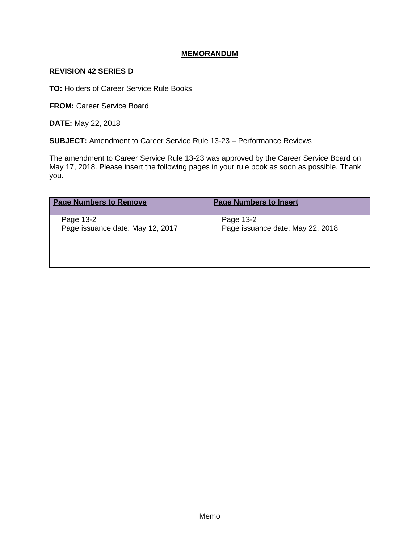## **MEMORANDUM**

## **REVISION 42 SERIES D**

**TO:** Holders of Career Service Rule Books

**FROM: Career Service Board** 

**DATE:** May 22, 2018

**SUBJECT:** Amendment to Career Service Rule 13-23 – Performance Reviews

The amendment to Career Service Rule 13-23 was approved by the Career Service Board on May 17, 2018. Please insert the following pages in your rule book as soon as possible. Thank you.

| <b>Page Numbers to Remove</b>    | <b>Page Numbers to Insert</b>    |
|----------------------------------|----------------------------------|
| Page 13-2                        | Page 13-2                        |
| Page issuance date: May 12, 2017 | Page issuance date: May 22, 2018 |